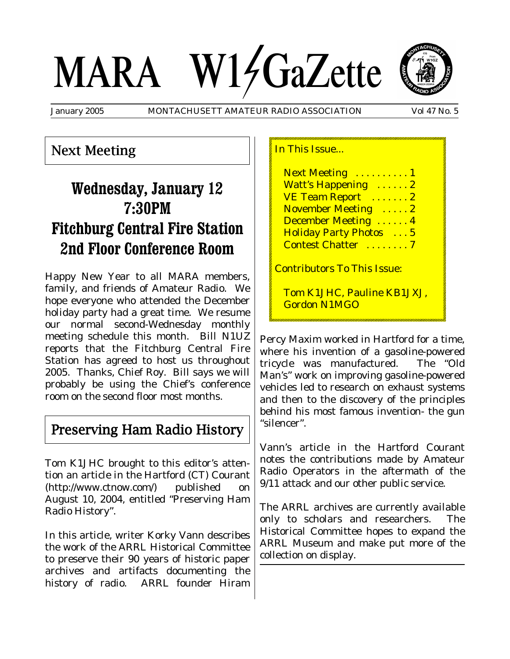# MARA W14GaZette



January 2005 MONTACHUSETT AMATEUR RADIO ASSOCIATION Vol 47 No. 5

### Next Meeting

# **Wednesday, January 12 7:30PM Fitchburg Central Fire Station 2nd Floor Conference Room**

Happy New Year to all MARA members, family, and friends of Amateur Radio. We hope everyone who attended the December holiday party had a great time. We resume our normal second-Wednesday monthly meeting schedule this month. Bill N1UZ reports that the Fitchburg Central Fire Station has agreed to host us throughout 2005. Thanks, Chief Roy. Bill says we will probably be using the Chief's conference room on the second floor most months.

### Preserving Ham Radio History

Tom K1JHC brought to this editor's attention an article in the Hartford (CT) Courant (http://www.ctnow.com/) published on August 10, 2004, entitled "Preserving Ham Radio History".

In this article, writer Korky Vann describes the work of the ARRL Historical Committee to preserve their 90 years of historic paper archives and artifacts documenting the history of radio. ARRL founder Hiram

### In This Issue...

Next Meeting ..........1 Watt's Happening ...... 2 VE Team Report .......2 November Meeting . . . . . 2 December Meeting . . . . . . 4 Holiday Party Photos . . . 5 Contest Chatter . . . . . . . . 7

Contributors To This Issue:

Tom K1JHC, Pauline KB1JXJ, Gordon N1MGO

Percy Maxim worked in Hartford for a time, where his invention of a gasoline-powered tricycle was manufactured. The "Old Man's" work on improving gasoline-powered vehicles led to research on exhaust systems and then to the discovery of the principles behind his most famous invention- the gun "silencer".

Vann's article in the Hartford Courant notes the contributions made by Amateur Radio Operators in the aftermath of the 9/11 attack and our other public service.

The ARRL archives are currently available only to scholars and researchers. The Historical Committee hopes to expand the ARRL Museum and make put more of the collection on display.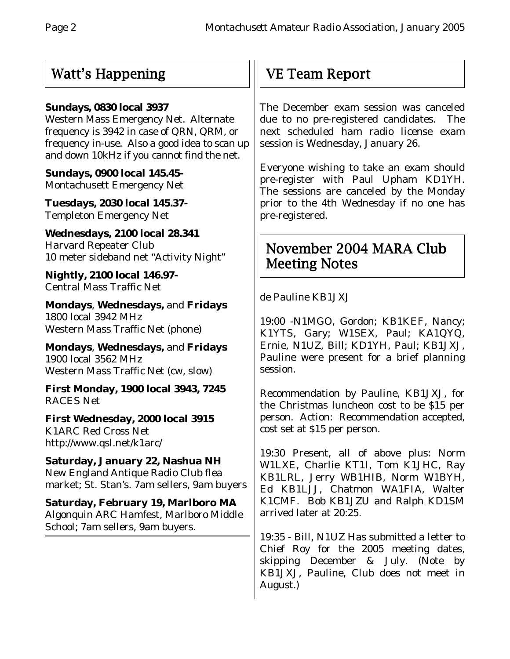## Watt's Happening

### **Sundays, 0830 local 3937**

Western Mass Emergency Net. Alternate frequency is 3942 in case of QRN, QRM, or frequency in-use. Also a good idea to scan up and down 10kHz if you cannot find the net.

**Sundays, 0900 local 145.45-** Montachusett Emergency Net

**Tuesdays, 2030 local 145.37-** Templeton Emergency Net

**Wednesdays, 2100 local 28.341** Harvard Repeater Club 10 meter sideband net "Activity Night"

**Nightly, 2100 local 146.97-** Central Mass Traffic Net

**Mondays**, **Wednesdays,** and **Fridays** 1800 local 3942 MHz Western Mass Traffic Net (phone)

**Mondays**, **Wednesdays,** and **Fridays** 1900 local 3562 MHz Western Mass Traffic Net (cw, slow)

**First Monday, 1900 local 3943, 7245** RACES Net

**First Wednesday, 2000 local 3915** K1ARC Red Cross Net http://www.qsl.net/k1arc/

**Saturday, January 22, Nashua NH** New England Antique Radio Club flea market; St. Stan's. 7am sellers, 9am buyers

**Saturday, February 19, Marlboro MA** Algonquin ARC Hamfest, Marlboro Middle School; 7am sellers, 9am buyers.

# VE Team Report

The December exam session was canceled due to no pre-registered candidates. The next scheduled ham radio license exam session is Wednesday, January 26.

Everyone wishing to take an exam should pre-register with Paul Upham KD1YH. The sessions are canceled by the Monday prior to the 4th Wednesday if no one has pre-registered.

### November 2004 MARA Club Meeting Notes

de Pauline KB1JXJ

19:00 -N1MGO, Gordon; KB1KEF, Nancy; K1YTS, Gary; W1SEX, Paul; KA1QYQ, Ernie, N1UZ, Bill; KD1YH, Paul; KB1JXJ, Pauline were present for a brief planning session.

Recommendation by Pauline, KB1JXJ, for the Christmas luncheon cost to be \$15 per person. Action: Recommendation accepted, cost set at \$15 per person.

19:30 Present, all of above plus: Norm W1LXE, Charlie KT1I, Tom K1JHC, Ray KB1LRL, Jerry WB1HIB, Norm W1BYH, Ed KB1LJJ, Chatmon WA1FIA, Walter K1CMF. Bob KB1JZU and Ralph KD1SM arrived later at 20:25.

19:35 - Bill, N1UZ Has submitted a letter to Chief Roy for the 2005 meeting dates, skipping December & July. (Note by KB1JXJ, Pauline, Club does not meet in August.)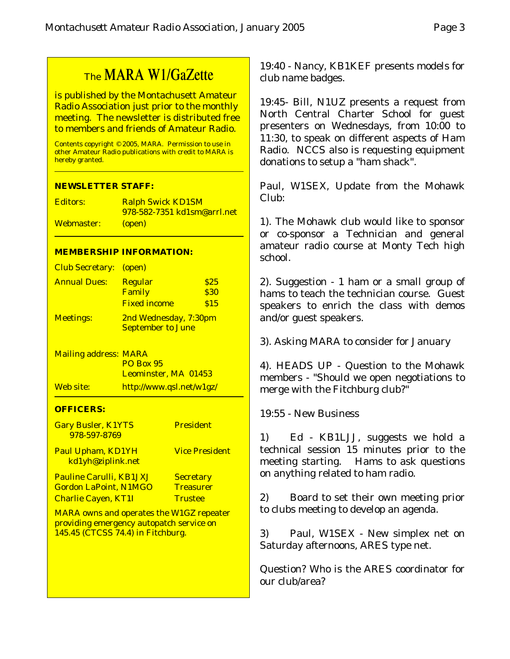# The MARA W1/GaZette

is published by the Montachusett Amateur Radio Association just prior to the monthly meeting. The newsletter is distributed free to members and friends of Amateur Radio.

Contents copyright © 2005, MARA. Permission to use in other Amateur Radio publications with credit to MARA is hereby granted.

### **NEWSLETTER STAFF:**

Editors: Ralph Swick KD1SM 978-582-7351 kd1sm@arrl.net Webmaster: (open)

### **MEMBERSHIP INFORMATION:**

| <b>Club Secretary:</b>       | (open)                                                   |             |
|------------------------------|----------------------------------------------------------|-------------|
| <b>Annual Dues:</b>          | Regular                                                  | <b>S25</b>  |
|                              | <b>Family</b>                                            | <b>\$30</b> |
|                              | <b>Fixed income</b>                                      | S15         |
| <b>Meetings:</b>             | <u>2nd Wednesday, 7:30pm</u><br><b>September to June</b> |             |
| <b>Mailing address: MARA</b> | <b>PO Box 95</b><br>Leominster, MA 01453                 |             |
| Web site:                    | http://www.qsl.net/w1gz/                                 |             |

### **OFFICERS:**

| <b>Gary Busler, K1YTS</b><br>978-597-8769 | <b>President</b>      |
|-------------------------------------------|-----------------------|
| Paul Upham, KD1YH<br>kd1yh@ziplink.net    | <b>Vice President</b> |
| <u> Pauline Carulli, KB1JXJ</u>           | <b>Secretary</b>      |
| <b>Gordon LaPoint, N1MGO</b>              | <b>Treasurer</b>      |
| <b>Charlie Cayen, KT1I</b>                | <b>Trustee</b>        |

MARA owns and operates the W1GZ repeater providing emergency autopatch service on 145.45 (CTCSS 74.4) in Fitchburg.

19:40 - Nancy, KB1KEF presents models for club name badges.

19:45- Bill, N1UZ presents a request from North Central Charter School for guest presenters on Wednesdays, from 10:00 to 11:30, to speak on different aspects of Ham Radio. NCCS also is requesting equipment donations to setup a "ham shack".

Paul, W1SEX, Update from the Mohawk Club:

1). The Mohawk club would like to sponsor or co-sponsor a Technician and general amateur radio course at Monty Tech high school.

2). Suggestion - 1 ham or a small group of hams to teach the technician course. Guest speakers to enrich the class with demos and/or guest speakers.

3). Asking MARA to consider for January

4). HEADS UP - Question to the Mohawk members - "Should we open negotiations to merge with the Fitchburg club?"

19:55 - New Business

1) Ed - KB1LJJ, suggests we hold a technical session 15 minutes prior to the meeting starting. Hams to ask questions on anything related to ham radio.

2) Board to set their own meeting prior to clubs meeting to develop an agenda.

3) Paul, W1SEX - New simplex net on Saturday afternoons, ARES type net.

Question? Who is the ARES coordinator for our club/area?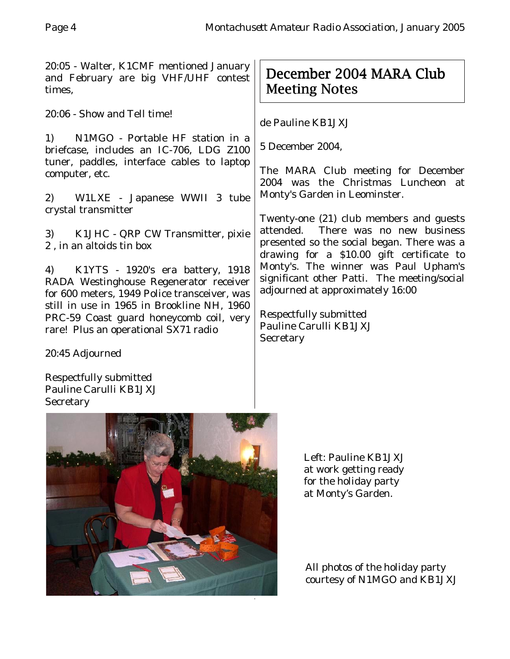20:05 - Walter, K1CMF mentioned January and February are big VHF/UHF contest times,

20:06 - Show and Tell time!

1) N1MGO - Portable HF station in a briefcase, includes an IC-706, LDG Z100 tuner, paddles, interface cables to laptop computer, etc.

2) W1LXE - Japanese WWII 3 tube crystal transmitter

3) K1JHC - QRP CW Transmitter, pixie 2 , in an altoids tin box

4) K1YTS - 1920's era battery, 1918 RADA Westinghouse Regenerator receiver for 600 meters, 1949 Police transceiver, was still in use in 1965 in Brookline NH, 1960 PRC-59 Coast guard honeycomb coil, very rare! Plus an operational SX71 radio

# December 2004 MARA Club Meeting Notes

de Pauline KB1JXJ

5 December 2004,

The MARA Club meeting for December 2004 was the Christmas Luncheon at Monty's Garden in Leominster.

Twenty-one (21) club members and guests attended. There was no new business presented so the social began. There was a drawing for a \$10.00 gift certificate to Monty's. The winner was Paul Upham's significant other Patti. The meeting/social adjourned at approximately 16:00

Respectfully submitted Pauline Carulli KB1JXJ **Secretary** 

20:45 Adjourned

Respectfully submitted Pauline Carulli KB1JXJ **Secretary** 



Left: Pauline KB1JXJ at work getting ready for the holiday party at Monty's Garden.

All photos of the holiday party courtesy of N1MGO and KB1JXJ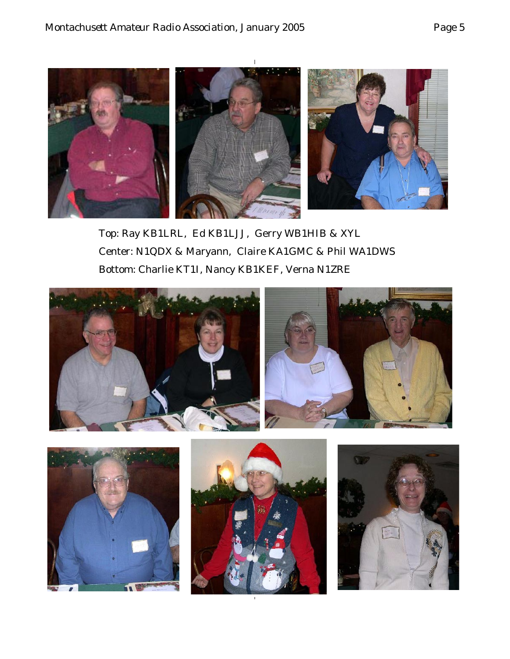

Top: Ray KB1LRL, Ed KB1LJJ, Gerry WB1HIB & XYL Center: N1QDX & Maryann, Claire KA1GMC & Phil WA1DWS Bottom: Charlie KT1I, Nancy KB1KEF, Verna N1ZRE





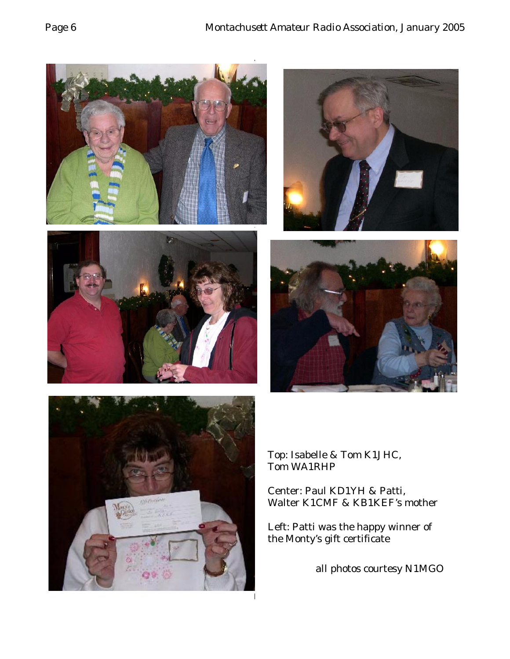









Top: Isabelle & Tom K1JHC, Tom WA1RHP

Center: Paul KD1YH & Patti, Walter K1CMF & KB1KEF's mother

Left: Patti was the happy winner of the Monty's gift certificate

all photos courtesy N1MGO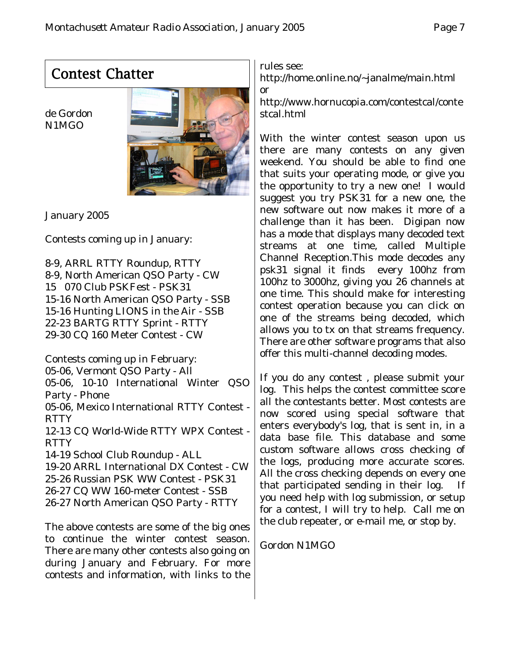# Contest Chatter

de Gordon N1MGO



January 2005

Contests coming up in January:

8-9, ARRL RTTY Roundup, RTTY 8-9, North American QSO Party - CW 15 070 Club PSKFest - PSK31 15-16 North American QSO Party - SSB 15-16 Hunting LIONS in the Air - SSB 22-23 BARTG RTTY Sprint - RTTY 29-30 CQ 160 Meter Contest - CW

Contests coming up in February: 05-06, Vermont QSO Party - All 05-06, 10-10 International Winter QSO Party - Phone 05-06, Mexico International RTTY Contest - **RTTY** 12-13 CQ World-Wide RTTY WPX Contest - RTTY 14-19 School Club Roundup - ALL 19-20 ARRL International DX Contest - CW 25-26 Russian PSK WW Contest - PSK31 26-27 CQ WW 160-meter Contest - SSB

26-27 North American QSO Party - RTTY

The above contests are some of the big ones to continue the winter contest season. There are many other contests also going on during January and February. For more contests and information, with links to the

rules see:

http://home.online.no/~janalme/main.html or

http://www.hornucopia.com/contestcal/conte stcal.html

With the winter contest season upon us there are many contests on any given weekend. You should be able to find one that suits your operating mode, or give you the opportunity to try a new one! I would suggest you try PSK31 for a new one, the new software out now makes it more of a challenge than it has been. Digipan now has a mode that displays many decoded text streams at one time, called Multiple Channel Reception.This mode decodes any psk31 signal it finds every 100hz from 100hz to 3000hz, giving you 26 channels at one time. This should make for interesting contest operation because you can click on one of the streams being decoded, which allows you to tx on that streams frequency. There are other software programs that also offer this multi-channel decoding modes.

If you do any contest , please submit your log. This helps the contest committee score all the contestants better. Most contests are now scored using special software that enters everybody's log, that is sent in, in a data base file. This database and some custom software allows cross checking of the logs, producing more accurate scores. All the cross checking depends on every one that participated sending in their log. you need help with log submission, or setup for a contest, I will try to help. Call me on the club repeater, or e-mail me, or stop by.

### Gordon N1MGO